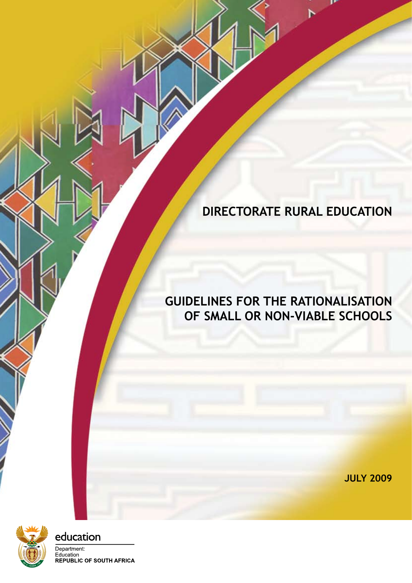# **Directorate Rural Education**

# **Guidelines for the rationalisation of small or non-viable schools**



education

Department:<br>Education<br>REPUBLIC OF SOUTH AFRICA

**JULY 2009**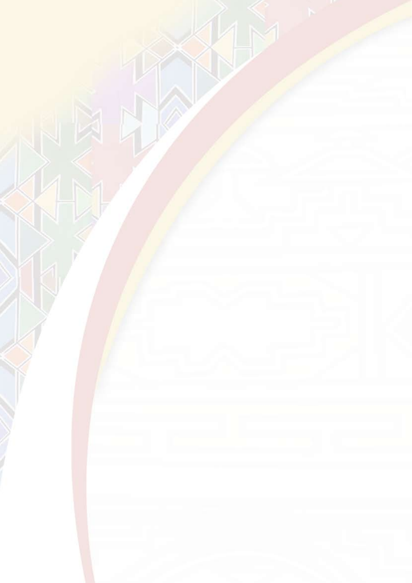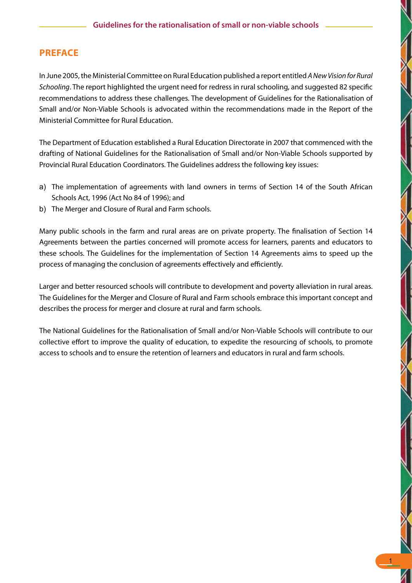### **PREFACE**

In June 2005, the Ministerial Committee on Rural Education published a report entitled *A New Vision for Rural Schooling*. The report highlighted the urgent need for redress in rural schooling, and suggested 82 specific recommendations to address these challenges. The development of Guidelines for the Rationalisation of Small and/or Non-Viable Schools is advocated within the recommendations made in the Report of the Ministerial Committee for Rural Education.

The Department of Education established a Rural Education Directorate in 2007 that commenced with the drafting of National Guidelines for the Rationalisation of Small and/or Non-Viable Schools supported by Provincial Rural Education Coordinators. The Guidelines address the following key issues:

- a) The implementation of agreements with land owners in terms of Section 14 of the South African Schools Act, 1996 (Act No 84 of 1996); and
- b) The Merger and Closure of Rural and Farm schools.

Many public schools in the farm and rural areas are on private property. The finalisation of Section 14 Agreements between the parties concerned will promote access for learners, parents and educators to these schools. The Guidelines for the implementation of Section 14 Agreements aims to speed up the process of managing the conclusion of agreements effectively and efficiently.

Larger and better resourced schools will contribute to development and poverty alleviation in rural areas. The Guidelines for the Merger and Closure of Rural and Farm schools embrace this important concept and describes the process for merger and closure at rural and farm schools.

The National Guidelines for the Rationalisation of Small and/or Non-Viable Schools will contribute to our collective effort to improve the quality of education, to expedite the resourcing of schools, to promote access to schools and to ensure the retention of learners and educators in rural and farm schools.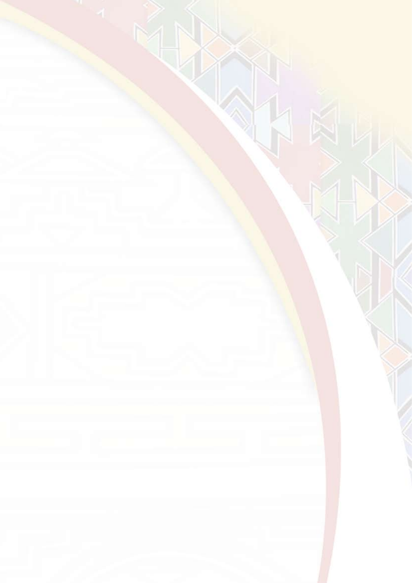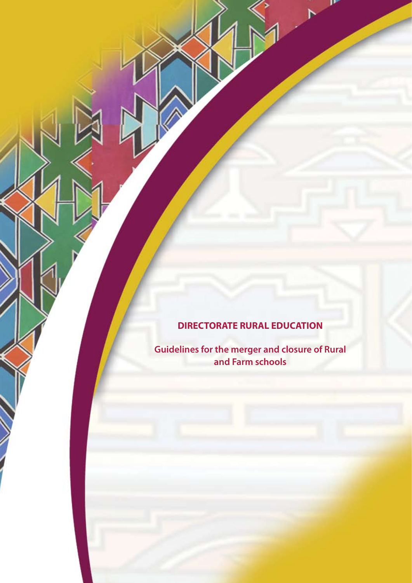## **DIRECTORATE RURAL EDUCATION**

 $\Diamond$ 

**Guidelines for the merger and closure of Rural and Farm schools**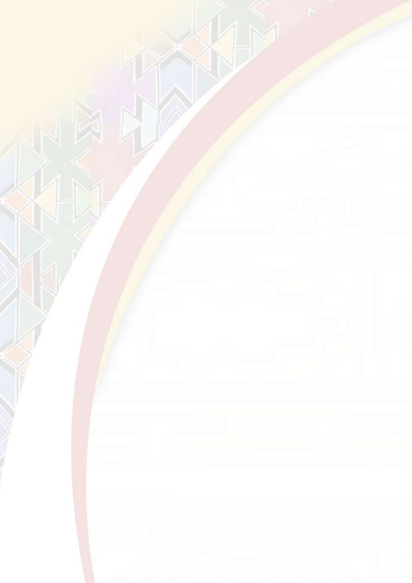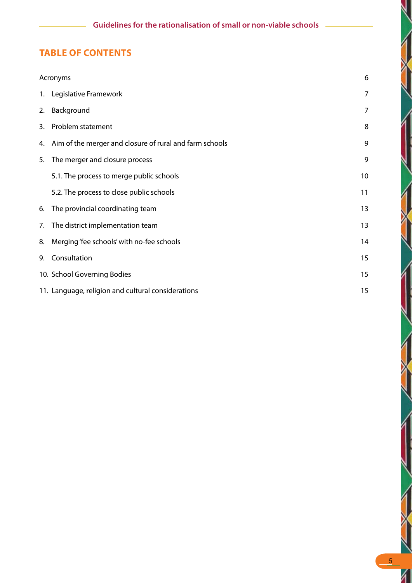## **TABLE OF CONTENTS**

|    | Acronyms                                                   | 6  |
|----|------------------------------------------------------------|----|
|    | 1. Legislative Framework                                   | 7  |
|    | 2. Background                                              | 7  |
|    | 3. Problem statement                                       | 8  |
|    | 4. Aim of the merger and closure of rural and farm schools | 9  |
| 5. | The merger and closure process                             | 9  |
|    | 5.1. The process to merge public schools                   | 10 |
|    | 5.2. The process to close public schools                   | 11 |
|    | 6. The provincial coordinating team                        | 13 |
|    | 7. The district implementation team                        | 13 |
| 8. | Merging 'fee schools' with no-fee schools                  | 14 |
|    | 9. Consultation                                            | 15 |
|    | 10. School Governing Bodies                                | 15 |
|    | 11. Language, religion and cultural considerations         | 15 |

 $\sqrt{2}$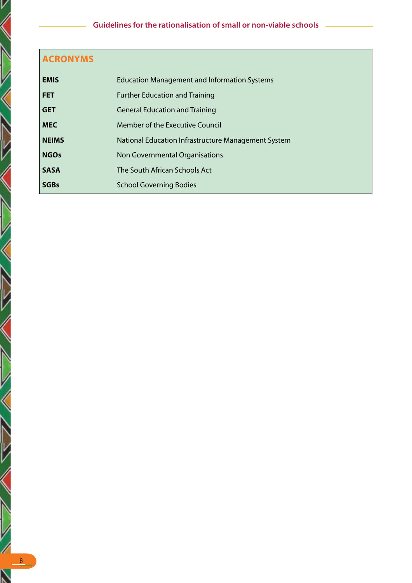### **Guidelines for the rationalisation of small or non-viable schools**

| <b>ACRONYMS</b> |                                                     |  |  |
|-----------------|-----------------------------------------------------|--|--|
| <b>EMIS</b>     | <b>Education Management and Information Systems</b> |  |  |
| <b>FET</b>      | <b>Further Education and Training</b>               |  |  |
| <b>GET</b>      | <b>General Education and Training</b>               |  |  |
| <b>MEC</b>      | Member of the Executive Council                     |  |  |
| <b>NEIMS</b>    | National Education Infrastructure Management System |  |  |
| <b>NGOs</b>     | Non Governmental Organisations                      |  |  |
| <b>SASA</b>     | The South African Schools Act                       |  |  |
| <b>SGBs</b>     | <b>School Governing Bodies</b>                      |  |  |

 $\overline{\mathcal{N}}$ 

V

N SANTA K

ķ

NASA

 $\overline{\mathbb{X}}$ 

KR 77 AST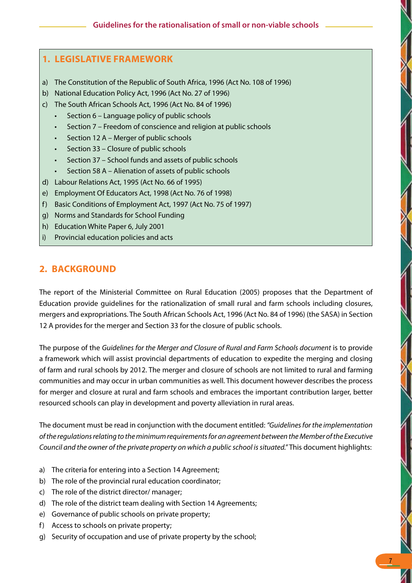### **1. LEGISLATIVE FRAMEWORK**

- a) The Constitution of the Republic of South Africa, 1996 (Act No. 108 of 1996)
- b) National Education Policy Act, 1996 (Act No. 27 of 1996)
- c) The South African Schools Act, 1996 (Act No. 84 of 1996)
	- Section 6 Language policy of public schools
	- Section 7 Freedom of conscience and religion at public schools
	- Section 12 A Merger of public schools
	- • Section 33 Closure of public schools
	- Section 37 School funds and assets of public schools
	- • Section 58 A Alienation of assets of public schools
- d) Labour Relations Act, 1995 (Act No. 66 of 1995)
- e) Employment Of Educators Act, 1998 (Act No. 76 of 1998)
- f) Basic Conditions of Employment Act, 1997 (Act No. 75 of 1997)
- g) Norms and Standards for School Funding
- h) Education White Paper 6, July 2001
- i) Provincial education policies and acts

### **2. BACKGROUND**

The report of the Ministerial Committee on Rural Education (2005) proposes that the Department of Education provide guidelines for the rationalization of small rural and farm schools including closures, mergers and expropriations. The South African Schools Act, 1996 (Act No. 84 of 1996) (the SASA) in Section 12 A provides for the merger and Section 33 for the closure of public schools.

The purpose of the *Guidelines for the Merger and Closure of Rural and Farm Schools document* is to provide a framework which will assist provincial departments of education to expedite the merging and closing of farm and rural schools by 2012. The merger and closure of schools are not limited to rural and farming communities and may occur in urban communities as well. This document however describes the process for merger and closure at rural and farm schools and embraces the important contribution larger, better resourced schools can play in development and poverty alleviation in rural areas.

The document must be read in conjunction with the document entitled: *"Guidelines for the implementation of the regulations relating to the minimum requirements for an agreement between the Member of the Executive Council and the owner of the private property on which a public school is situated."* This document highlights:

- a) The criteria for entering into a Section 14 Agreement;
- b) The role of the provincial rural education coordinator;
- c) The role of the district director/ manager;
- d) The role of the district team dealing with Section 14 Agreements;
- e) Governance of public schools on private property;
- f) Access to schools on private property;
- g) Security of occupation and use of private property by the school;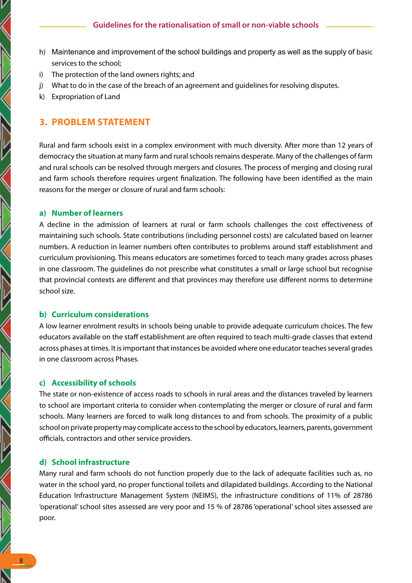- h) Maintenance and improvement of the school buildings and property as well as the supply of basic services to the school;
- i) The protection of the land owners rights; and
- j) What to do in the case of the breach of an agreement and guidelines for resolving disputes.
- k) Expropriation of Land

### **3. PROBLEM STATEMENT**

Rural and farm schools exist in a complex environment with much diversity. After more than 12 years of democracy the situation at many farm and rural schools remains desperate. Many of the challenges of farm and rural schools can be resolved through mergers and closures. The process of merging and closing rural and farm schools therefore requires urgent finalization. The following have been identified as the main reasons for the merger or closure of rural and farm schools:

#### **a) Number of learners**

A decline in the admission of learners at rural or farm schools challenges the cost effectiveness of maintaining such schools. State contributions (including personnel costs) are calculated based on learner numbers. A reduction in learner numbers often contributes to problems around staff establishment and curriculum provisioning. This means educators are sometimes forced to teach many grades across phases in one classroom. The guidelines do not prescribe what constitutes a small or large school but recognise that provincial contexts are different and that provinces may therefore use different norms to determine school size.

#### **b) Curriculum considerations**

A low learner enrolment results in schools being unable to provide adequate curriculum choices. The few educators available on the staff establishment are often required to teach multi-grade classes that extend across phases at times. It is important that instances be avoided where one educator teaches several grades in one classroom across Phases.

#### **c) Accessibility of schools**

The state or non-existence of access roads to schools in rural areas and the distances traveled by learners to school are important criteria to consider when contemplating the merger or closure of rural and farm schools. Many learners are forced to walk long distances to and from schools. The proximity of a public school on private property may complicate access to the school by educators, learners, parents, government officials, contractors and other service providers.

#### **d) School infrastructure**

Many rural and farm schools do not function properly due to the lack of adequate facilities such as, no water in the school yard, no proper functional toilets and dilapidated buildings. According to the National Education Infrastructure Management System (NEIMS), the infrastructure conditions of 11% of 28786 'operational' school sites assessed are very poor and 15 % of 28786 'operational' school sites assessed are poor.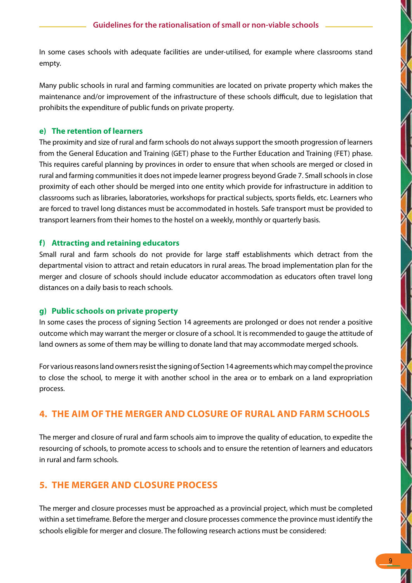In some cases schools with adequate facilities are under-utilised, for example where classrooms stand empty.

Many public schools in rural and farming communities are located on private property which makes the maintenance and/or improvement of the infrastructure of these schools difficult, due to legislation that prohibits the expenditure of public funds on private property.

#### **e) The retention of learners**

The proximity and size of rural and farm schools do not always support the smooth progression of learners from the General Education and Training (GET) phase to the Further Education and Training (FET) phase. This requires careful planning by provinces in order to ensure that when schools are merged or closed in rural and farming communities it does not impede learner progress beyond Grade 7. Small schools in close proximity of each other should be merged into one entity which provide for infrastructure in addition to classrooms such as libraries, laboratories, workshops for practical subjects, sports fields, etc. Learners who are forced to travel long distances must be accommodated in hostels. Safe transport must be provided to transport learners from their homes to the hostel on a weekly, monthly or quarterly basis.

#### **f) Attracting and retaining educators**

Small rural and farm schools do not provide for large staff establishments which detract from the departmental vision to attract and retain educators in rural areas. The broad implementation plan for the merger and closure of schools should include educator accommodation as educators often travel long distances on a daily basis to reach schools.

### **g) Public schools on private property**

In some cases the process of signing Section 14 agreements are prolonged or does not render a positive outcome which may warrant the merger or closure of a school. It is recommended to gauge the attitude of land owners as some of them may be willing to donate land that may accommodate merged schools.

For various reasons land owners resist the signing of Section 14 agreements which may compel the province to close the school, to merge it with another school in the area or to embark on a land expropriation process.

### **4. THE AIM OF THE MERGER AND CLOSURE OF RURAL AND FARM SCHOOLS**

The merger and closure of rural and farm schools aim to improve the quality of education, to expedite the resourcing of schools, to promote access to schools and to ensure the retention of learners and educators in rural and farm schools.

### **5. THE MERGER AND CLOSURE PROCESS**

The merger and closure processes must be approached as a provincial project, which must be completed within a set timeframe. Before the merger and closure processes commence the province must identify the schools eligible for merger and closure. The following research actions must be considered: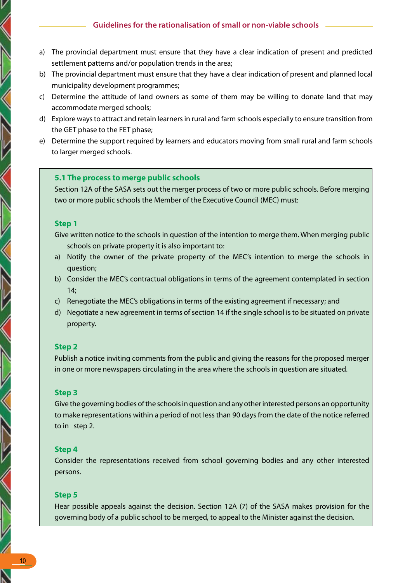### **Guidelines for the rationalisation of small or non-viable schools**

- a) The provincial department must ensure that they have a clear indication of present and predicted settlement patterns and/or population trends in the area;
- b) The provincial department must ensure that they have a clear indication of present and planned local municipality development programmes;
- c) Determine the attitude of land owners as some of them may be willing to donate land that may accommodate merged schools;
- d) Explore ways to attract and retain learners in rural and farm schools especially to ensure transition from the GET phase to the FET phase;
- e) Determine the support required by learners and educators moving from small rural and farm schools to larger merged schools.

### **5.1 The process to merge public schools**

Section 12A of the SASA sets out the merger process of two or more public schools. Before merging two or more public schools the Member of the Executive Council (MEC) must:

#### **Step 1**

Give written notice to the schools in question of the intention to merge them. When merging public schools on private property it is also important to:

- a) Notify the owner of the private property of the MEC's intention to merge the schools in question;
- b) Consider the MEC's contractual obligations in terms of the agreement contemplated in section 14;
- c) Renegotiate the MEC's obligations in terms of the existing agreement if necessary; and
- d) Negotiate a new agreement in terms of section 14 if the single school is to be situated on private property.

### **Step 2**

Publish a notice inviting comments from the public and giving the reasons for the proposed merger in one or more newspapers circulating in the area where the schools in question are situated.

### **Step 3**

Give the governing bodies of the schools in question and any other interested persons an opportunity to make representations within a period of not less than 90 days from the date of the notice referred to in step 2.

### **Step 4**

Consider the representations received from school governing bodies and any other interested persons.

#### **Step 5**

Hear possible appeals against the decision. Section 12A (7) of the SASA makes provision for the governing body of a public school to be merged, to appeal to the Minister against the decision.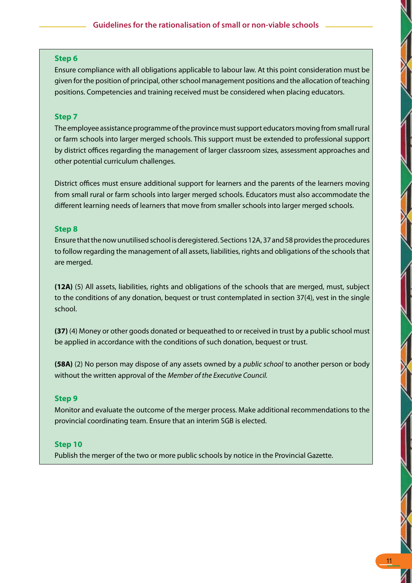### **Step 6**

Ensure compliance with all obligations applicable to labour law. At this point consideration must be given for the position of principal, other school management positions and the allocation of teaching positions. Competencies and training received must be considered when placing educators.

### **Step 7**

The employee assistance programme of the province must support educators moving from small rural or farm schools into larger merged schools. This support must be extended to professional support by district offices regarding the management of larger classroom sizes, assessment approaches and other potential curriculum challenges.

District offices must ensure additional support for learners and the parents of the learners moving from small rural or farm schools into larger merged schools. Educators must also accommodate the different learning needs of learners that move from smaller schools into larger merged schools.

### **Step 8**

Ensure that the now unutilised school is deregistered. Sections 12A, 37 and 58 provides the procedures to follow regarding the management of all assets, liabilities, rights and obligations of the schools that are merged.

**(12A)** (5) All assets, liabilities, rights and obligations of the schools that are merged, must, subject to the conditions of any donation, bequest or trust contemplated in section 37(4), vest in the single school.

**(37)** (4) Money or other goods donated or bequeathed to or received in trust by a public school must be applied in accordance with the conditions of such donation, bequest or trust.

**(58A)** (2) No person may dispose of any assets owned by a *public school* to another person or body without the written approval of the *Member of the Executive Council.*

### **Step 9**

Monitor and evaluate the outcome of the merger process. Make additional recommendations to the provincial coordinating team. Ensure that an interim SGB is elected.

### **Step 10**

Publish the merger of the two or more public schools by notice in the Provincial Gazette.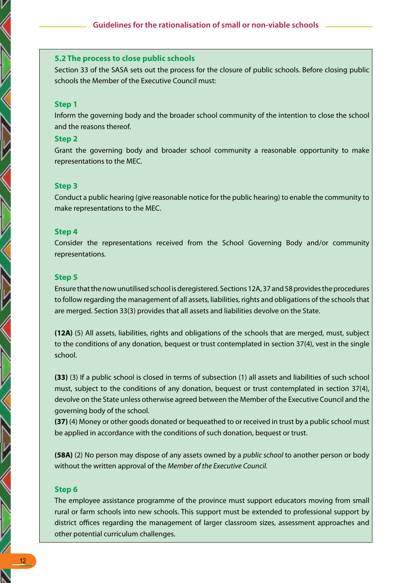#### **5.2 The process to close public schools**

Section 33 of the SASA sets out the process for the closure of public schools. Before closing public schools the Member of the Executive Council must:

#### **Step 1**

Inform the governing body and the broader school community of the intention to close the school and the reasons thereof.

#### **Step 2**

Grant the governing body and broader school community a reasonable opportunity to make representations to the MEC.

#### **Step 3**

Conduct a public hearing (give reasonable notice for the public hearing) to enable the community to make representations to the MEC.

#### **Step 4**

Consider the representations received from the School Governing Body and/or community representations.

#### **Step 5**

Ensure that the now unutilised school is deregistered. Sections 12A, 37 and 58 provides the procedures to follow regarding the management of all assets, liabilities, rights and obligations of the schools that are merged. Section 33(3) provides that all assets and liabilities devolve on the State.

**(12A)** (5) All assets, liabilities, rights and obligations of the schools that are merged, must, subject to the conditions of any donation, bequest or trust contemplated in section 37(4), vest in the single school.

**(33)** (3) If a public school is closed in terms of subsection (1) all assets and liabilities of such school must, subject to the conditions of any donation, bequest or trust contemplated in section 37(4), devolve on the State unless otherwise agreed between the Member of the Executive Council and the governing body of the school.

**(37)** (4) Money or other goods donated or bequeathed to or received in trust by a public school must be applied in accordance with the conditions of such donation, bequest or trust.

**(58A)** (2) No person may dispose of any assets owned by a *public school* to another person or body without the written approval of the *Member of the Executive Council.*

#### **Step 6**

The employee assistance programme of the province must support educators moving from small rural or farm schools into new schools. This support must be extended to professional support by district offices regarding the management of larger classroom sizes, assessment approaches and other potential curriculum challenges.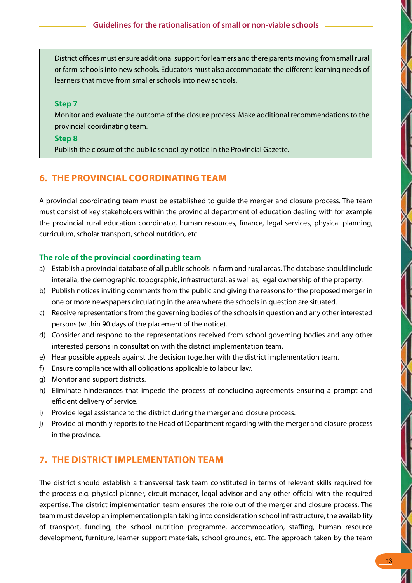District offices must ensure additional support for learners and there parents moving from small rural or farm schools into new schools. Educators must also accommodate the different learning needs of learners that move from smaller schools into new schools.

#### **Step 7**

Monitor and evaluate the outcome of the closure process. Make additional recommendations to the provincial coordinating team.

#### **Step 8**

Publish the closure of the public school by notice in the Provincial Gazette.

### **6. THE PROVINCIAL COORDINATING TEAM**

A provincial coordinating team must be established to guide the merger and closure process. The team must consist of key stakeholders within the provincial department of education dealing with for example the provincial rural education coordinator, human resources, finance, legal services, physical planning, curriculum, scholar transport, school nutrition, etc.

#### **The role of the provincial coordinating team**

- a) Establish a provincial database of all public schools in farm and rural areas. The database should include interalia, the demographic, topographic, infrastructural, as well as, legal ownership of the property.
- b) Publish notices inviting comments from the public and giving the reasons for the proposed merger in one or more newspapers circulating in the area where the schools in question are situated.
- c) Receive representations from the governing bodies of the schools in question and any other interested persons (within 90 days of the placement of the notice).
- d) Consider and respond to the representations received from school governing bodies and any other interested persons in consultation with the district implementation team.
- e) Hear possible appeals against the decision together with the district implementation team.
- f) Ensure compliance with all obligations applicable to labour law.
- g) Monitor and support districts.
- h) Eliminate hinderances that impede the process of concluding agreements ensuring a prompt and efficient delivery of service.
- i) Provide legal assistance to the district during the merger and closure process.
- j) Provide bi-monthly reports to the Head of Department regarding with the merger and closure process in the province.

### **7. THE DISTRICT IMPLEMENTATION TEAM**

The district should establish a transversal task team constituted in terms of relevant skills required for the process e.g. physical planner, circuit manager, legal advisor and any other official with the required expertise. The district implementation team ensures the role out of the merger and closure process. The team must develop an implementation plan taking into consideration school infrastructure, the availability of transport, funding, the school nutrition programme, accommodation, staffing, human resource development, furniture, learner support materials, school grounds, etc. The approach taken by the team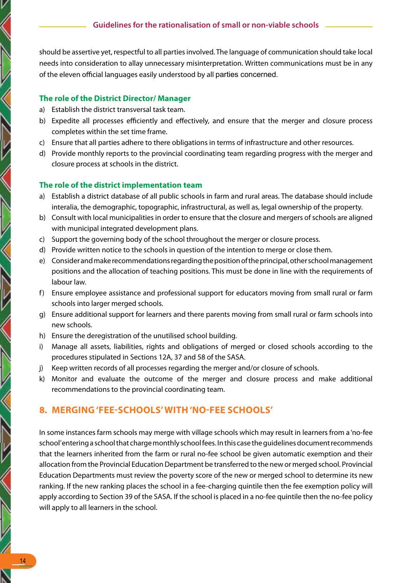should be assertive yet, respectful to all parties involved. The language of communication should take local needs into consideration to allay unnecessary misinterpretation. Written communications must be in any of the eleven official languages easily understood by all parties concerned.

#### **The role of the District Director/ Manager**

- a) Establish the district transversal task team.
- b) Expedite all processes efficiently and effectively, and ensure that the merger and closure process completes within the set time frame.
- c) Ensure that all parties adhere to there obligations in terms of infrastructure and other resources.
- d) Provide monthly reports to the provincial coordinating team regarding progress with the merger and closure process at schools in the district.

#### **The role of the district implementation team**

- a) Establish a district database of all public schools in farm and rural areas. The database should include interalia, the demographic, topographic, infrastructural, as well as, legal ownership of the property.
- b) Consult with local municipalities in order to ensure that the closure and mergers of schools are aligned with municipal integrated development plans.
- c) Support the governing body of the school throughout the merger or closure process.
- d) Provide written notice to the schools in question of the intention to merge or close them.
- e) Consider and make recommendations regarding the position of the principal, other school management positions and the allocation of teaching positions. This must be done in line with the requirements of labour law.
- f) Ensure employee assistance and professional support for educators moving from small rural or farm schools into larger merged schools.
- g) Ensure additional support for learners and there parents moving from small rural or farm schools into new schools.
- h) Ensure the deregistration of the unutilised school building.
- i) Manage all assets, liabilities, rights and obligations of merged or closed schools according to the procedures stipulated in Sections 12A, 37 and 58 of the SASA.
- j) Keep written records of all processes regarding the merger and/or closure of schools.
- k) Monitor and evaluate the outcome of the merger and closure process and make additional recommendations to the provincial coordinating team.

### **8. MERGING 'FEE-SCHOOLS' WITH 'NO-FEE SCHOOLS'**

In some instances farm schools may merge with village schools which may result in learners from a 'no-fee school' entering a school that charge monthly school fees. In this case the guidelines document recommends that the learners inherited from the farm or rural no-fee school be given automatic exemption and their allocation from the Provincial Education Department be transferred to the new or merged school. Provincial Education Departments must review the poverty score of the new or merged school to determine its new ranking. If the new ranking places the school in a fee-charging quintile then the fee exemption policy will apply according to Section 39 of the SASA. If the school is placed in a no-fee quintile then the no-fee policy will apply to all learners in the school.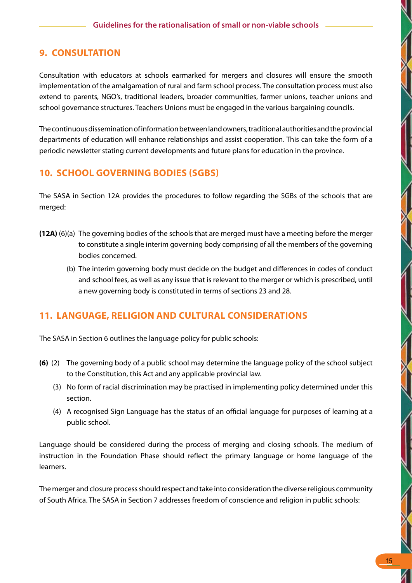### **9. CONSULTATION**

Consultation with educators at schools earmarked for mergers and closures will ensure the smooth implementation of the amalgamation of rural and farm school process. The consultation process must also extend to parents, NGO's, traditional leaders, broader communities, farmer unions, teacher unions and school governance structures. Teachers Unions must be engaged in the various bargaining councils.

The continuous dissemination of information between land owners, traditional authorities and the provincial departments of education will enhance relationships and assist cooperation. This can take the form of a periodic newsletter stating current developments and future plans for education in the province.

### **10. SCHOOL GOVERNING BODIES (SGBs)**

The SASA in Section 12A provides the procedures to follow regarding the SGBs of the schools that are merged:

- **(12A)** (6)(a) The governing bodies of the schools that are merged must have a meeting before the merger to constitute a single interim governing body comprising of all the members of the governing bodies concerned.
	- (b) The interim governing body must decide on the budget and differences in codes of conduct and school fees, as well as any issue that is relevant to the merger or which is prescribed, until a new governing body is constituted in terms of sections 23 and 28.

### **11. LANGUAGE, RELIGION AND CULTURAL CONSIDERATIONS**

The SASA in Section 6 outlines the language policy for public schools:

- **(6)** (2) The governing body of a public school may determine the language policy of the school subject to the Constitution, this Act and any applicable provincial law.
	- (3) No form of racial discrimination may be practised in implementing policy determined under this section.
	- (4) A recognised Sign Language has the status of an official language for purposes of learning at a public school.

Language should be considered during the process of merging and closing schools. The medium of instruction in the Foundation Phase should reflect the primary language or home language of the learners.

The merger and closure process should respect and take into consideration the diverse religious community of South Africa. The SASA in Section 7 addresses freedom of conscience and religion in public schools: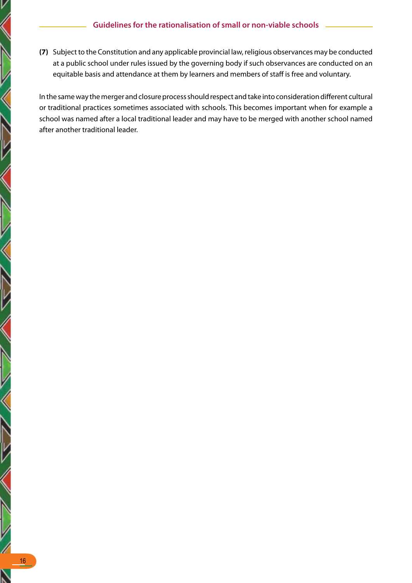#### **Guidelines for the rationalisation of small or non-viable schools**

**(7)** Subject to the Constitution and any applicable provincial law, religious observances may be conducted at a public school under rules issued by the governing body if such observances are conducted on an equitable basis and attendance at them by learners and members of staff is free and voluntary.

In the same way the merger and closure process should respect and take into consideration different cultural or traditional practices sometimes associated with schools. This becomes important when for example a school was named after a local traditional leader and may have to be merged with another school named after another traditional leader.

**KENAST** 

ļ

ľ

ľ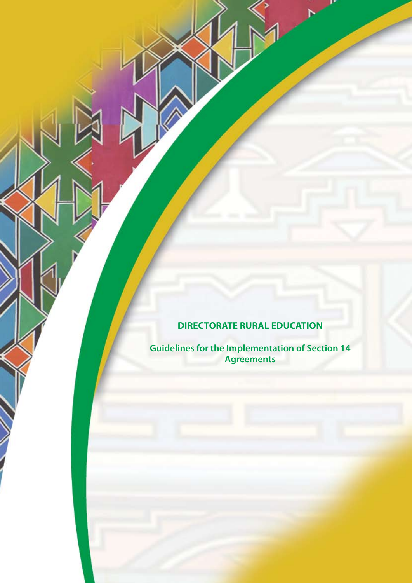## **DIRECTORATE RURAL EDUCATION**

 $\Diamond$ 

**Guidelines for the Implementation of Section 14 Agreements**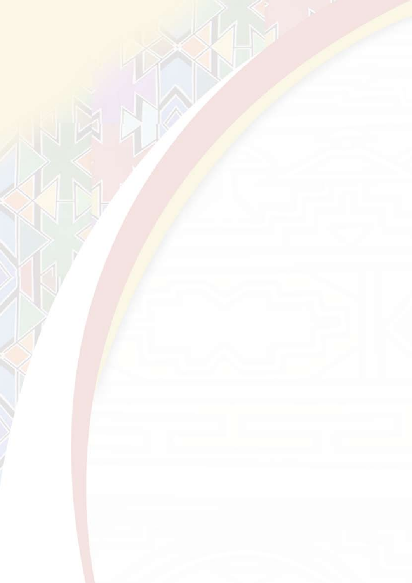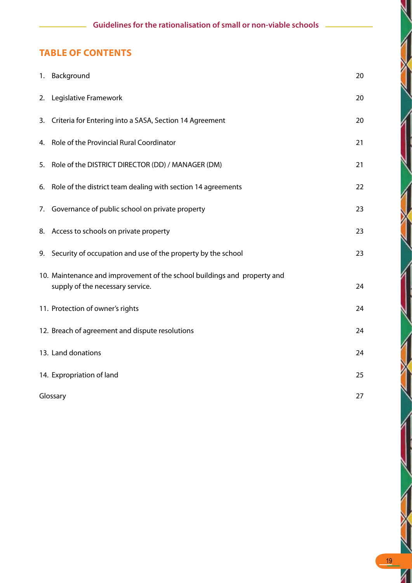## **TABLE OF CONTENTS**

| 1. Background                                                                                                | 20 |
|--------------------------------------------------------------------------------------------------------------|----|
| 2. Legislative Framework                                                                                     | 20 |
| 3. Criteria for Entering into a SASA, Section 14 Agreement                                                   | 20 |
| 4. Role of the Provincial Rural Coordinator                                                                  | 21 |
| 5. Role of the DISTRICT DIRECTOR (DD) / MANAGER (DM)                                                         | 21 |
| 6. Role of the district team dealing with section 14 agreements                                              | 22 |
| 7. Governance of public school on private property                                                           | 23 |
| 8. Access to schools on private property                                                                     | 23 |
| 9. Security of occupation and use of the property by the school                                              | 23 |
| 10. Maintenance and improvement of the school buildings and property and<br>supply of the necessary service. | 24 |
| 11. Protection of owner's rights                                                                             | 24 |
| 12. Breach of agreement and dispute resolutions                                                              | 24 |
| 13. Land donations                                                                                           | 24 |
| 14. Expropriation of land                                                                                    | 25 |
| Glossary                                                                                                     | 27 |

 $\overline{A}$ 

 $\overline{\mathbb{N}}$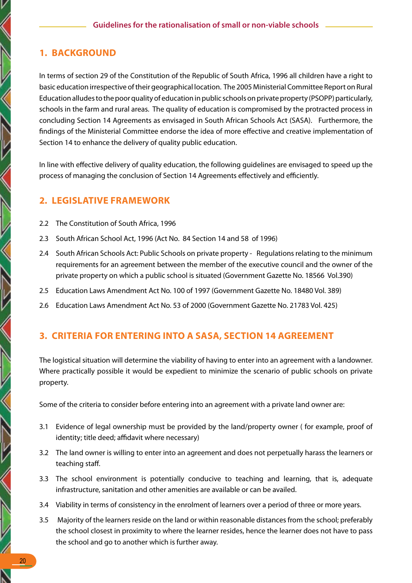### **1. BACKGROUND**

In terms of section 29 of the Constitution of the Republic of South Africa, 1996 all children have a right to basic education irrespective of their geographical location. The 2005 Ministerial Committee Report on Rural Education alludes to the poor quality of education in public schools on private property (PSOPP) particularly, schools in the farm and rural areas. The quality of education is compromised by the protracted process in concluding Section 14 Agreements as envisaged in South African Schools Act (SASA). Furthermore, the findings of the Ministerial Committee endorse the idea of more effective and creative implementation of Section 14 to enhance the delivery of quality public education.

In line with effective delivery of quality education, the following guidelines are envisaged to speed up the process of managing the conclusion of Section 14 Agreements effectively and efficiently.

### **2. LEGISLATIVE FRAMEWORK**

- 2.2 The Constitution of South Africa, 1996
- 2.3 South African School Act, 1996 (Act No. 84 Section 14 and 58 of 1996)
- 2.4 South African Schools Act: Public Schools on private property Regulations relating to the minimum requirements for an agreement between the member of the executive council and the owner of the private property on which a public school is situated (Government Gazette No. 18566 Vol.390)
- 2.5 Education Laws Amendment Act No. 100 of 1997 (Government Gazette No. 18480 Vol. 389)
- 2.6 Education Laws Amendment Act No. 53 of 2000 (Government Gazette No. 21783 Vol. 425)

### **3. CRITERIA FOR ENTERING INTO A SASA, SECTION 14 AGREEMENT**

The logistical situation will determine the viability of having to enter into an agreement with a landowner. Where practically possible it would be expedient to minimize the scenario of public schools on private property.

Some of the criteria to consider before entering into an agreement with a private land owner are:

- 3.1 Evidence of legal ownership must be provided by the land/property owner ( for example, proof of identity; title deed; affidavit where necessary)
- 3.2 The land owner is willing to enter into an agreement and does not perpetually harass the learners or teaching staff.
- 3.3 The school environment is potentially conducive to teaching and learning, that is, adequate infrastructure, sanitation and other amenities are available or can be availed.
- 3.4 Viability in terms of consistency in the enrolment of learners over a period of three or more years.
- 3.5 Majority of the learners reside on the land or within reasonable distances from the school; preferably the school closest in proximity to where the learner resides, hence the learner does not have to pass the school and go to another which is further away.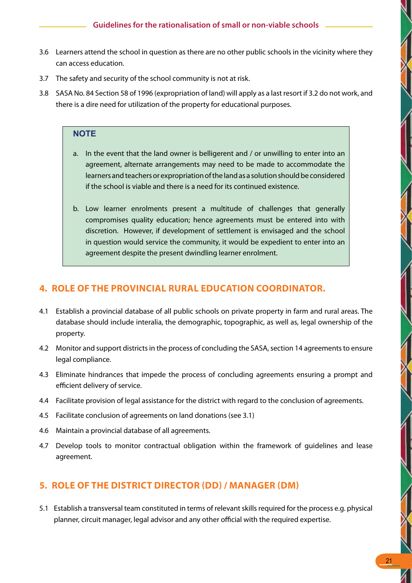### **Guidelines for the rationalisation of small or non-viable schools**

- 3.6 Learners attend the school in question as there are no other public schools in the vicinity where they can access education.
- 3.7 The safety and security of the school community is not at risk.
- 3.8 SASA No. 84 Section 58 of 1996 (expropriation of land) will apply as a last resort if 3.2 do not work, and there is a dire need for utilization of the property for educational purposes.

### **NOTE**

- a. In the event that the land owner is belligerent and / or unwilling to enter into an agreement, alternate arrangements may need to be made to accommodate the learners and teachers or expropriation of the land as a solution should be considered if the school is viable and there is a need for its continued existence.
- b. Low learner enrolments present a multitude of challenges that generally compromises quality education; hence agreements must be entered into with discretion. However, if development of settlement is envisaged and the school in question would service the community, it would be expedient to enter into an agreement despite the present dwindling learner enrolment.

### **4. ROLE OF THE PROVINCIAL RURAL EDUCATION COORDINATOR.**

- 4.1 Establish a provincial database of all public schools on private property in farm and rural areas. The database should include interalia, the demographic, topographic, as well as, legal ownership of the property.
- 4.2 Monitor and support districts in the process of concluding the SASA, section 14 agreements to ensure legal compliance.
- 4.3 Eliminate hindrances that impede the process of concluding agreements ensuring a prompt and efficient delivery of service.
- 4.4 Facilitate provision of legal assistance for the district with regard to the conclusion of agreements.
- 4.5 Facilitate conclusion of agreements on land donations (see 3.1)
- 4.6 Maintain a provincial database of all agreements.
- 4.7 Develop tools to monitor contractual obligation within the framework of guidelines and lease agreement.

### **5. ROLE OF THE DISTRICT DIRECTOR (DD) / MANAGER (DM)**

5.1 Establish a transversal team constituted in terms of relevant skills required for the process e.g. physical planner, circuit manager, legal advisor and any other official with the required expertise.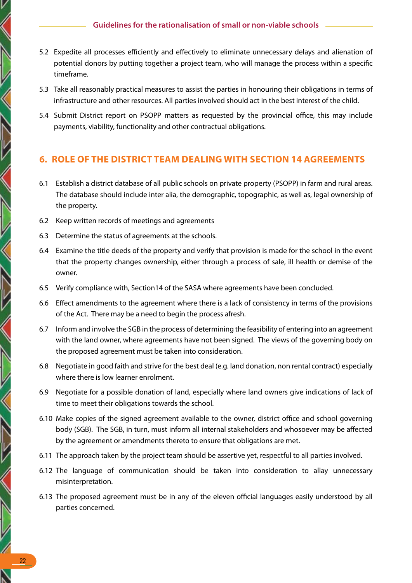- 5.2 Expedite all processes efficiently and effectively to eliminate unnecessary delays and alienation of potential donors by putting together a project team, who will manage the process within a specific timeframe.
- 5.3 Take all reasonably practical measures to assist the parties in honouring their obligations in terms of infrastructure and other resources. All parties involved should act in the best interest of the child.
- 5.4 Submit District report on PSOPP matters as requested by the provincial office, this may include payments, viability, functionality and other contractual obligations.

### **6. ROLE OF THE DISTRICT TEAM DEALING WITH SECTION 14 AGREEMENTS**

- 6.1 Establish a district database of all public schools on private property (PSOPP) in farm and rural areas. The database should include inter alia, the demographic, topographic, as well as, legal ownership of the property.
- 6.2 Keep written records of meetings and agreements
- 6.3 Determine the status of agreements at the schools.
- 6.4 Examine the title deeds of the property and verify that provision is made for the school in the event that the property changes ownership, either through a process of sale, ill health or demise of the owner.
- 6.5 Verify compliance with, Section14 of the SASA where agreements have been concluded.
- 6.6 Effect amendments to the agreement where there is a lack of consistency in terms of the provisions of the Act. There may be a need to begin the process afresh.
- 6.7 Inform and involve the SGB in the process of determining the feasibility of entering into an agreement with the land owner, where agreements have not been signed. The views of the governing body on the proposed agreement must be taken into consideration.
- 6.8 Negotiate in good faith and strive for the best deal (e.g. land donation, non rental contract) especially where there is low learner enrolment.
- 6.9 Negotiate for a possible donation of land, especially where land owners give indications of lack of time to meet their obligations towards the school.
- 6.10 Make copies of the signed agreement available to the owner, district office and school governing body (SGB). The SGB, in turn, must inform all internal stakeholders and whosoever may be affected by the agreement or amendments thereto to ensure that obligations are met.
- 6.11 The approach taken by the project team should be assertive yet, respectful to all parties involved.
- 6.12 The language of communication should be taken into consideration to allay unnecessary misinterpretation.
- 6.13 The proposed agreement must be in any of the eleven official languages easily understood by all parties concerned.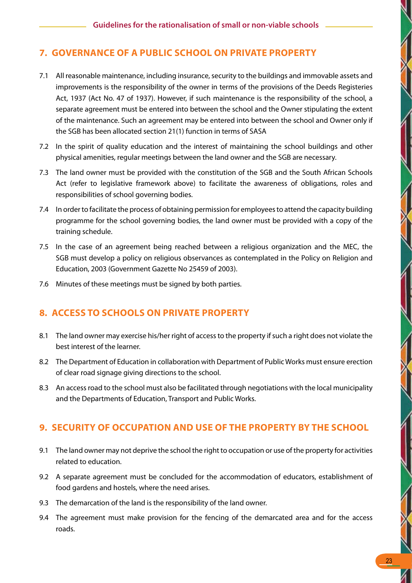### **7. GOVERNANCE OF A PUBLIC SCHOOL ON PRIVATE PROPERTY**

- 7.1 All reasonable maintenance, including insurance, security to the buildings and immovable assets and improvements is the responsibility of the owner in terms of the provisions of the Deeds Registeries Act, 1937 (Act No. 47 of 1937). However, if such maintenance is the responsibility of the school, a separate agreement must be entered into between the school and the Owner stipulating the extent of the maintenance. Such an agreement may be entered into between the school and Owner only if the SGB has been allocated section 21(1) function in terms of SASA
- 7.2 In the spirit of quality education and the interest of maintaining the school buildings and other physical amenities, regular meetings between the land owner and the SGB are necessary.
- 7.3 The land owner must be provided with the constitution of the SGB and the South African Schools Act (refer to legislative framework above) to facilitate the awareness of obligations, roles and responsibilities of school governing bodies.
- 7.4 In order to facilitate the process of obtaining permission for employees to attend the capacity building programme for the school governing bodies, the land owner must be provided with a copy of the training schedule.
- 7.5 In the case of an agreement being reached between a religious organization and the MEC, the SGB must develop a policy on religious observances as contemplated in the Policy on Religion and Education, 2003 (Government Gazette No 25459 of 2003).
- 7.6 Minutes of these meetings must be signed by both parties.

### **8. ACCESS TO SCHOOLS ON PRIVATE PROPERTY**

- 8.1 The land owner may exercise his/her right of access to the property if such a right does not violate the best interest of the learner.
- 8.2 The Department of Education in collaboration with Department of Public Works must ensure erection of clear road signage giving directions to the school.
- 8.3 An access road to the school must also be facilitated through negotiations with the local municipality and the Departments of Education, Transport and Public Works.

### **9. SECURITY OF OCCUPATION AND USE OF THE PROPERTY BY THE SCHOOL**

- 9.1 The land owner may not deprive the school the right to occupation or use of the property for activities related to education.
- 9.2 A separate agreement must be concluded for the accommodation of educators, establishment of food gardens and hostels, where the need arises.
- 9.3 The demarcation of the land is the responsibility of the land owner.
- 9.4 The agreement must make provision for the fencing of the demarcated area and for the access roads.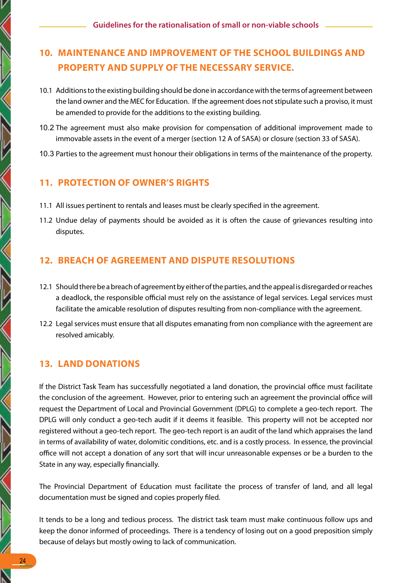## **10. MAINTENANCE AND IMPROVEMENT OF THE SCHOOL BUILDINGS AND PROPERTY AND SUPPLY OF THE NECESSARY SERVICE.**

- 10.1 Additions to the existing building should be done in accordance with the terms of agreement between the land owner and the MEC for Education. If the agreement does not stipulate such a proviso, it must be amended to provide for the additions to the existing building.
- 10.2 The agreement must also make provision for compensation of additional improvement made to immovable assets in the event of a merger (section 12 A of SASA) or closure (section 33 of SASA).
- 10.3 Parties to the agreement must honour their obligations in terms of the maintenance of the property.

### **11. PROTECTION OF OWNER'S RIGHTS**

- 11.1 All issues pertinent to rentals and leases must be clearly specified in the agreement.
- 11.2 Undue delay of payments should be avoided as it is often the cause of grievances resulting into disputes.

### **12. BREACH OF AGREEMENT AND DISPUTE RESOLUTIONS**

- 12.1 Should there be a breach of agreement by either of the parties, and the appeal is disregarded or reaches a deadlock, the responsible official must rely on the assistance of legal services. Legal services must facilitate the amicable resolution of disputes resulting from non-compliance with the agreement.
- 12.2 Legal services must ensure that all disputes emanating from non compliance with the agreement are resolved amicably.

### **13. LAND DONATIONS**

If the District Task Team has successfully negotiated a land donation, the provincial office must facilitate the conclusion of the agreement. However, prior to entering such an agreement the provincial office will request the Department of Local and Provincial Government (DPLG) to complete a geo-tech report. The DPLG will only conduct a geo-tech audit if it deems it feasible. This property will not be accepted nor registered without a geo-tech report. The geo-tech report is an audit of the land which appraises the land in terms of availability of water, dolomitic conditions, etc. and is a costly process. In essence, the provincial office will not accept a donation of any sort that will incur unreasonable expenses or be a burden to the State in any way, especially financially.

The Provincial Department of Education must facilitate the process of transfer of land, and all legal documentation must be signed and copies properly filed.

It tends to be a long and tedious process. The district task team must make continuous follow ups and keep the donor informed of proceedings. There is a tendency of losing out on a good preposition simply because of delays but mostly owing to lack of communication.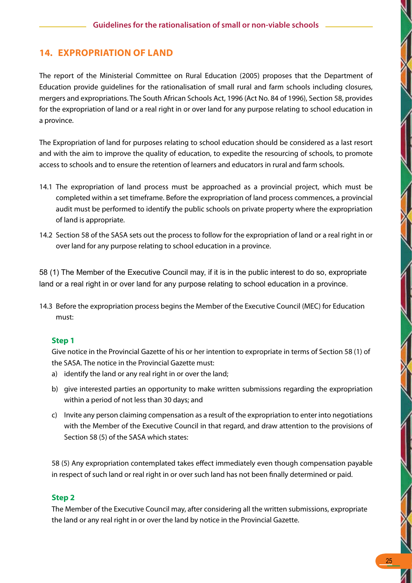### **14. EXPROPRIATION OF LAND**

The report of the Ministerial Committee on Rural Education (2005) proposes that the Department of Education provide guidelines for the rationalisation of small rural and farm schools including closures, mergers and expropriations. The South African Schools Act, 1996 (Act No. 84 of 1996), Section 58, provides for the expropriation of land or a real right in or over land for any purpose relating to school education in a province.

The Expropriation of land for purposes relating to school education should be considered as a last resort and with the aim to improve the quality of education, to expedite the resourcing of schools, to promote access to schools and to ensure the retention of learners and educators in rural and farm schools.

- 14.1 The expropriation of land process must be approached as a provincial project, which must be completed within a set timeframe. Before the expropriation of land process commences, a provincial audit must be performed to identify the public schools on private property where the expropriation of land is appropriate.
- 14.2 Section 58 of the SASA sets out the process to follow for the expropriation of land or a real right in or over land for any purpose relating to school education in a province.

58 (1) The Member of the Executive Council may, if it is in the public interest to do so, expropriate land or a real right in or over land for any purpose relating to school education in a province.

14.3 Before the expropriation process begins the Member of the Executive Council (MEC) for Education must:

### **Step 1**

Give notice in the Provincial Gazette of his or her intention to expropriate in terms of Section 58 (1) of the SASA. The notice in the Provincial Gazette must:

- a) identify the land or any real right in or over the land;
- b) give interested parties an opportunity to make written submissions regarding the expropriation within a period of not less than 30 days; and
- c) Invite any person claiming compensation as a result of the expropriation to enter into negotiations with the Member of the Executive Council in that regard, and draw attention to the provisions of Section 58 (5) of the SASA which states:

58 (5) Any expropriation contemplated takes effect immediately even though compensation payable in respect of such land or real right in or over such land has not been finally determined or paid.

### **Step 2**

The Member of the Executive Council may, after considering all the written submissions, expropriate the land or any real right in or over the land by notice in the Provincial Gazette.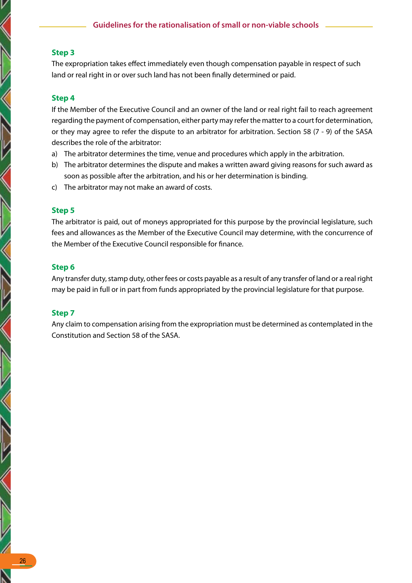#### **Step 3**

The expropriation takes effect immediately even though compensation payable in respect of such land or real right in or over such land has not been finally determined or paid.

#### **Step 4**

If the Member of the Executive Council and an owner of the land or real right fail to reach agreement regarding the payment of compensation, either party may refer the matter to a court for determination, or they may agree to refer the dispute to an arbitrator for arbitration. Section 58 (7 - 9) of the SASA describes the role of the arbitrator:

- a) The arbitrator determines the time, venue and procedures which apply in the arbitration.
- b) The arbitrator determines the dispute and makes a written award giving reasons for such award as soon as possible after the arbitration, and his or her determination is binding.
- c) The arbitrator may not make an award of costs.

#### **Step 5**

The arbitrator is paid, out of moneys appropriated for this purpose by the provincial legislature, such fees and allowances as the Member of the Executive Council may determine, with the concurrence of the Member of the Executive Council responsible for finance.

### **Step 6**

Any transfer duty, stamp duty, other fees or costs payable as a result of any transfer of land or a real right may be paid in full or in part from funds appropriated by the provincial legislature for that purpose.

#### **Step 7**

Any claim to compensation arising from the expropriation must be determined as contemplated in the Constitution and Section 58 of the SASA.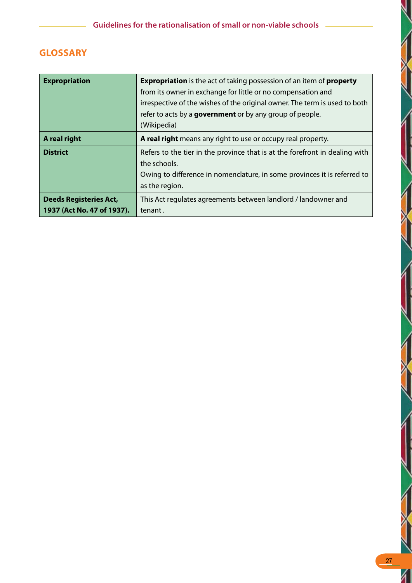## **Glossary**

| <b>Expropriation</b>                                        | <b>Expropriation</b> is the act of taking possession of an item of <b>property</b><br>from its owner in exchange for little or no compensation and<br>irrespective of the wishes of the original owner. The term is used to both<br>refer to acts by a government or by any group of people.<br>(Wikipedia) |
|-------------------------------------------------------------|-------------------------------------------------------------------------------------------------------------------------------------------------------------------------------------------------------------------------------------------------------------------------------------------------------------|
| A real right                                                | A real right means any right to use or occupy real property.                                                                                                                                                                                                                                                |
| <b>District</b>                                             | Refers to the tier in the province that is at the forefront in dealing with<br>the schools.<br>Owing to difference in nomenclature, in some provinces it is referred to<br>as the region.                                                                                                                   |
| <b>Deeds Registeries Act,</b><br>1937 (Act No. 47 of 1937). | This Act regulates agreements between landlord / landowner and<br>tenant.                                                                                                                                                                                                                                   |

 $\overline{A}$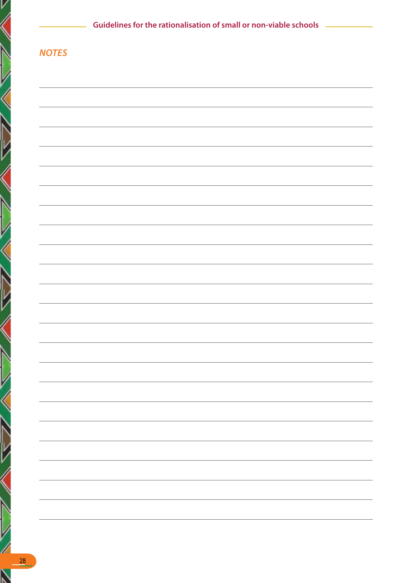|              | <b>EXECUTE:</b> Guidelines for the rationalisation of small or non-viable schools <b>COVID-1000</b>                   |
|--------------|-----------------------------------------------------------------------------------------------------------------------|
| <b>NOTES</b> |                                                                                                                       |
|              |                                                                                                                       |
|              |                                                                                                                       |
|              |                                                                                                                       |
|              |                                                                                                                       |
|              |                                                                                                                       |
|              | <u> 1989 - Johann Stoff, amerikansk politiker (d. 1989)</u>                                                           |
|              | ,我们也不能在这里的时候,我们也不能在这里的时候,我们也不能在这里的时候,我们也不能会在这里的时候,我们也不能会在这里的时候,我们也不能会在这里的时候,我们也不能                                     |
|              |                                                                                                                       |
|              |                                                                                                                       |
|              |                                                                                                                       |
|              | <u> 1989 - Johann Harry Harry Harry Harry Harry Harry Harry Harry Harry Harry Harry Harry Harry Harry Harry Harry</u> |
|              |                                                                                                                       |
|              |                                                                                                                       |
|              |                                                                                                                       |
|              |                                                                                                                       |
|              |                                                                                                                       |
|              |                                                                                                                       |
|              |                                                                                                                       |
|              |                                                                                                                       |
|              |                                                                                                                       |
|              |                                                                                                                       |
|              |                                                                                                                       |
|              |                                                                                                                       |
|              |                                                                                                                       |
|              |                                                                                                                       |
|              |                                                                                                                       |
|              |                                                                                                                       |
|              |                                                                                                                       |
|              |                                                                                                                       |

 $\overline{\mathcal{N}}$ 

h

ľ

∢

h

ľ

∢

h

ľ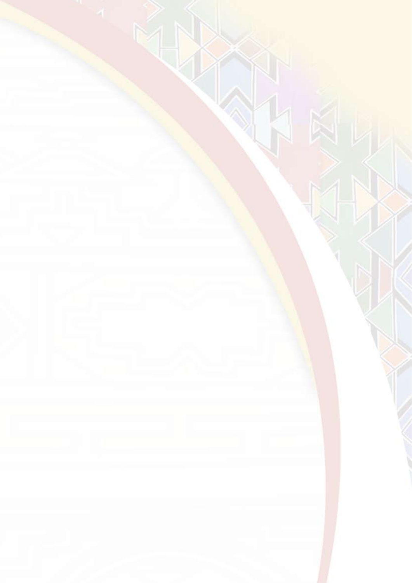